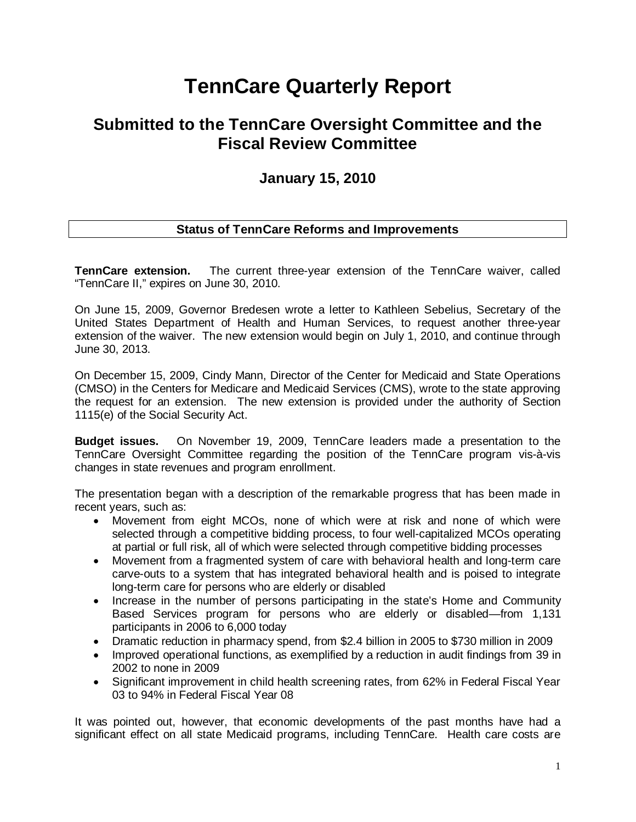# **TennCare Quarterly Report**

## **Submitted to the TennCare Oversight Committee and the Fiscal Review Committee**

## **January 15, 2010**

### **Status of TennCare Reforms and Improvements**

**TennCare extension.** The current three-year extension of the TennCare waiver, called "TennCare II," expires on June 30, 2010.

On June 15, 2009, Governor Bredesen wrote a letter to Kathleen Sebelius, Secretary of the United States Department of Health and Human Services, to request another three-year extension of the waiver. The new extension would begin on July 1, 2010, and continue through June 30, 2013.

On December 15, 2009, Cindy Mann, Director of the Center for Medicaid and State Operations (CMSO) in the Centers for Medicare and Medicaid Services (CMS), wrote to the state approving the request for an extension. The new extension is provided under the authority of Section 1115(e) of the Social Security Act.

**Budget issues.** On November 19, 2009, TennCare leaders made a presentation to the TennCare Oversight Committee regarding the position of the TennCare program vis-à-vis changes in state revenues and program enrollment.

The presentation began with a description of the remarkable progress that has been made in recent years, such as:

- Movement from eight MCOs, none of which were at risk and none of which were selected through a competitive bidding process, to four well-capitalized MCOs operating at partial or full risk, all of which were selected through competitive bidding processes
- Movement from a fragmented system of care with behavioral health and long-term care carve-outs to a system that has integrated behavioral health and is poised to integrate long-term care for persons who are elderly or disabled
- Increase in the number of persons participating in the state's Home and Community Based Services program for persons who are elderly or disabled—from 1,131 participants in 2006 to 6,000 today
- Dramatic reduction in pharmacy spend, from \$2.4 billion in 2005 to \$730 million in 2009
- Improved operational functions, as exemplified by a reduction in audit findings from 39 in 2002 to none in 2009
- Significant improvement in child health screening rates, from 62% in Federal Fiscal Year 03 to 94% in Federal Fiscal Year 08

It was pointed out, however, that economic developments of the past months have had a significant effect on all state Medicaid programs, including TennCare. Health care costs are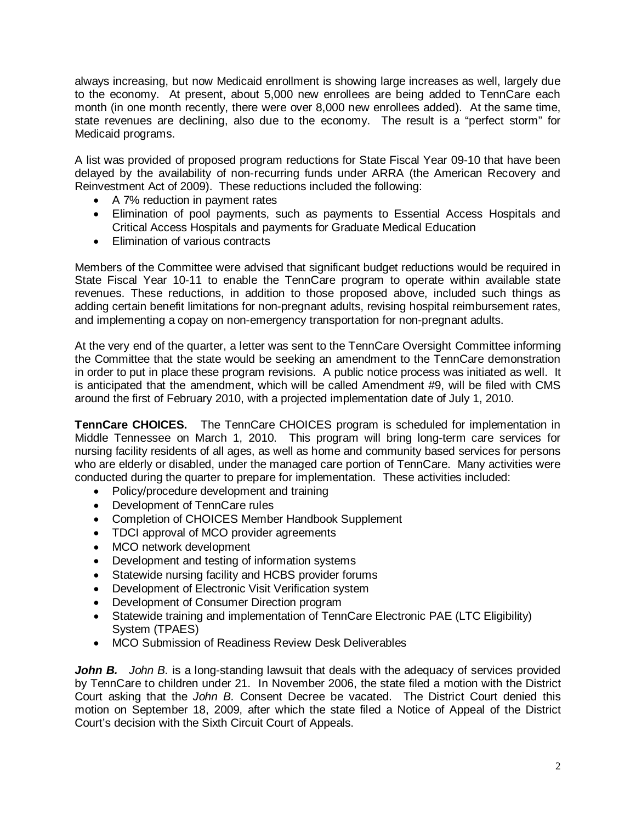always increasing, but now Medicaid enrollment is showing large increases as well, largely due to the economy. At present, about 5,000 new enrollees are being added to TennCare each month (in one month recently, there were over 8,000 new enrollees added). At the same time, state revenues are declining, also due to the economy. The result is a "perfect storm" for Medicaid programs.

A list was provided of proposed program reductions for State Fiscal Year 09-10 that have been delayed by the availability of non-recurring funds under ARRA (the American Recovery and Reinvestment Act of 2009). These reductions included the following:

- A 7% reduction in payment rates
- Elimination of pool payments, such as payments to Essential Access Hospitals and Critical Access Hospitals and payments for Graduate Medical Education
- Elimination of various contracts

Members of the Committee were advised that significant budget reductions would be required in State Fiscal Year 10-11 to enable the TennCare program to operate within available state revenues. These reductions, in addition to those proposed above, included such things as adding certain benefit limitations for non-pregnant adults, revising hospital reimbursement rates, and implementing a copay on non-emergency transportation for non-pregnant adults.

At the very end of the quarter, a letter was sent to the TennCare Oversight Committee informing the Committee that the state would be seeking an amendment to the TennCare demonstration in order to put in place these program revisions. A public notice process was initiated as well. It is anticipated that the amendment, which will be called Amendment #9, will be filed with CMS around the first of February 2010, with a projected implementation date of July 1, 2010.

**TennCare CHOICES.** The TennCare CHOICES program is scheduled for implementation in Middle Tennessee on March 1, 2010. This program will bring long-term care services for nursing facility residents of all ages, as well as home and community based services for persons who are elderly or disabled, under the managed care portion of TennCare. Many activities were conducted during the quarter to prepare for implementation. These activities included:

- Policy/procedure development and training
- Development of TennCare rules
- Completion of CHOICES Member Handbook Supplement
- TDCI approval of MCO provider agreements
- MCO network development
- Development and testing of information systems
- Statewide nursing facility and HCBS provider forums
- Development of Electronic Visit Verification system
- Development of Consumer Direction program
- Statewide training and implementation of TennCare Electronic PAE (LTC Eligibility) System (TPAES)
- MCO Submission of Readiness Review Desk Deliverables

*John B.* John B. is a long-standing lawsuit that deals with the adequacy of services provided by TennCare to children under 21. In November 2006, the state filed a motion with the District Court asking that the *John B.* Consent Decree be vacated. The District Court denied this motion on September 18, 2009, after which the state filed a Notice of Appeal of the District Court's decision with the Sixth Circuit Court of Appeals.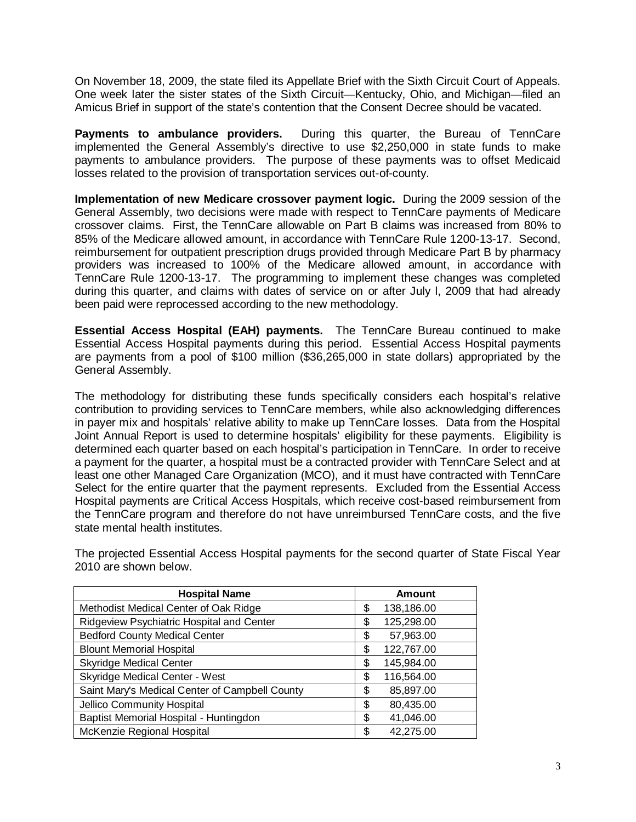On November 18, 2009, the state filed its Appellate Brief with the Sixth Circuit Court of Appeals. One week later the sister states of the Sixth Circuit—Kentucky, Ohio, and Michigan—filed an Amicus Brief in support of the state's contention that the Consent Decree should be vacated.

**Payments to ambulance providers.** During this quarter, the Bureau of TennCare implemented the General Assembly's directive to use \$2,250,000 in state funds to make payments to ambulance providers. The purpose of these payments was to offset Medicaid losses related to the provision of transportation services out-of-county.

**Implementation of new Medicare crossover payment logic.** During the 2009 session of the General Assembly, two decisions were made with respect to TennCare payments of Medicare crossover claims. First, the TennCare allowable on Part B claims was increased from 80% to 85% of the Medicare allowed amount, in accordance with TennCare Rule 1200-13-17. Second, reimbursement for outpatient prescription drugs provided through Medicare Part B by pharmacy providers was increased to 100% of the Medicare allowed amount, in accordance with TennCare Rule 1200-13-17. The programming to implement these changes was completed during this quarter, and claims with dates of service on or after July l, 2009 that had already been paid were reprocessed according to the new methodology.

**Essential Access Hospital (EAH) payments.** The TennCare Bureau continued to make Essential Access Hospital payments during this period. Essential Access Hospital payments are payments from a pool of \$100 million (\$36,265,000 in state dollars) appropriated by the General Assembly.

The methodology for distributing these funds specifically considers each hospital's relative contribution to providing services to TennCare members, while also acknowledging differences in payer mix and hospitals' relative ability to make up TennCare losses. Data from the Hospital Joint Annual Report is used to determine hospitals' eligibility for these payments. Eligibility is determined each quarter based on each hospital's participation in TennCare. In order to receive a payment for the quarter, a hospital must be a contracted provider with TennCare Select and at least one other Managed Care Organization (MCO), and it must have contracted with TennCare Select for the entire quarter that the payment represents. Excluded from the Essential Access Hospital payments are Critical Access Hospitals, which receive cost-based reimbursement from the TennCare program and therefore do not have unreimbursed TennCare costs, and the five state mental health institutes.

| <b>Hospital Name</b>                           | Amount           |
|------------------------------------------------|------------------|
| Methodist Medical Center of Oak Ridge          | \$<br>138,186.00 |
| Ridgeview Psychiatric Hospital and Center      | \$<br>125,298.00 |
| <b>Bedford County Medical Center</b>           | \$<br>57,963.00  |
| <b>Blount Memorial Hospital</b>                | \$<br>122,767.00 |
| <b>Skyridge Medical Center</b>                 | \$<br>145,984.00 |
| <b>Skyridge Medical Center - West</b>          | \$<br>116,564.00 |
| Saint Mary's Medical Center of Campbell County | \$<br>85,897.00  |
| Jellico Community Hospital                     | \$<br>80,435.00  |
| Baptist Memorial Hospital - Huntingdon         | \$<br>41,046.00  |
| McKenzie Regional Hospital                     | \$<br>42,275.00  |

The projected Essential Access Hospital payments for the second quarter of State Fiscal Year 2010 are shown below.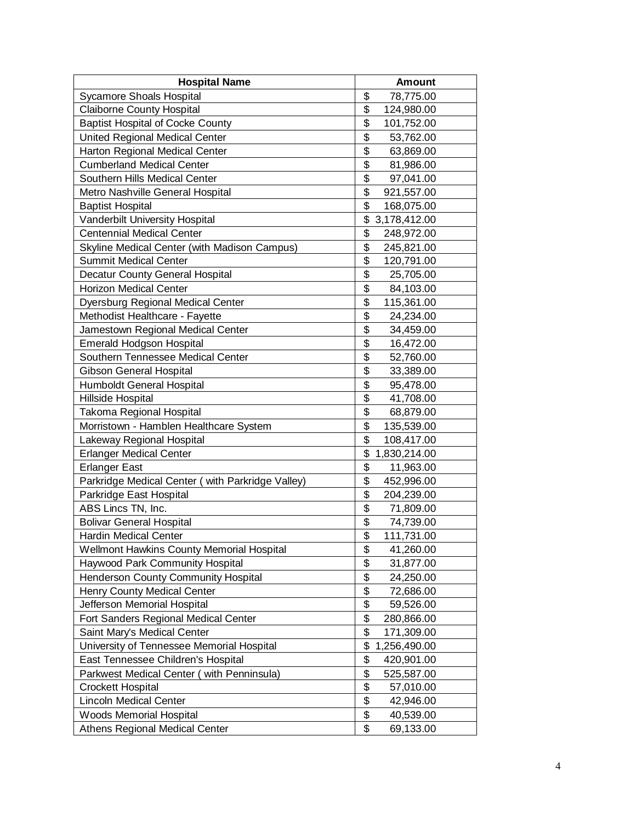| <b>Hospital Name</b>                             | <b>Amount</b>      |
|--------------------------------------------------|--------------------|
| Sycamore Shoals Hospital                         | \$<br>78,775.00    |
| <b>Claiborne County Hospital</b>                 | \$<br>124,980.00   |
| <b>Baptist Hospital of Cocke County</b>          | \$<br>101,752.00   |
| United Regional Medical Center                   | \$<br>53,762.00    |
| Harton Regional Medical Center                   | \$<br>63,869.00    |
| <b>Cumberland Medical Center</b>                 | \$<br>81,986.00    |
| Southern Hills Medical Center                    | \$<br>97,041.00    |
| Metro Nashville General Hospital                 | \$<br>921,557.00   |
| <b>Baptist Hospital</b>                          | \$<br>168,075.00   |
| Vanderbilt University Hospital                   | \$<br>3,178,412.00 |
| <b>Centennial Medical Center</b>                 | \$<br>248,972.00   |
| Skyline Medical Center (with Madison Campus)     | \$<br>245,821.00   |
| <b>Summit Medical Center</b>                     | \$<br>120,791.00   |
| Decatur County General Hospital                  | \$<br>25,705.00    |
| <b>Horizon Medical Center</b>                    | \$<br>84,103.00    |
| Dyersburg Regional Medical Center                | \$<br>115,361.00   |
| Methodist Healthcare - Fayette                   | \$<br>24,234.00    |
| Jamestown Regional Medical Center                | \$<br>34,459.00    |
| <b>Emerald Hodgson Hospital</b>                  | \$<br>16,472.00    |
| Southern Tennessee Medical Center                | \$<br>52,760.00    |
| <b>Gibson General Hospital</b>                   | \$<br>33,389.00    |
| Humboldt General Hospital                        | \$<br>95,478.00    |
| Hillside Hospital                                | \$<br>41,708.00    |
| Takoma Regional Hospital                         | \$<br>68,879.00    |
| Morristown - Hamblen Healthcare System           | \$<br>135,539.00   |
| Lakeway Regional Hospital                        | \$<br>108,417.00   |
| <b>Erlanger Medical Center</b>                   | \$<br>1,830,214.00 |
| <b>Erlanger East</b>                             | \$<br>11,963.00    |
| Parkridge Medical Center (with Parkridge Valley) | \$<br>452,996.00   |
| Parkridge East Hospital                          | \$<br>204,239.00   |
| ABS Lincs TN, Inc.                               | \$<br>71,809.00    |
| <b>Bolivar General Hospital</b>                  | \$<br>74,739.00    |
| Hardin Medical Center                            | \$<br>111,731.00   |
| Wellmont Hawkins County Memorial Hospital        | \$<br>41,260.00    |
| Haywood Park Community Hospital                  | \$<br>31,877.00    |
| Henderson County Community Hospital              | \$<br>24,250.00    |
| Henry County Medical Center                      | \$<br>72,686.00    |
| Jefferson Memorial Hospital                      | \$<br>59,526.00    |
| Fort Sanders Regional Medical Center             | \$<br>280,866.00   |
| Saint Mary's Medical Center                      | \$<br>171,309.00   |
| University of Tennessee Memorial Hospital        | \$<br>1,256,490.00 |
| East Tennessee Children's Hospital               | \$<br>420,901.00   |
| Parkwest Medical Center (with Penninsula)        | \$<br>525,587.00   |
| <b>Crockett Hospital</b>                         | \$<br>57,010.00    |
| <b>Lincoln Medical Center</b>                    | \$<br>42,946.00    |
| Woods Memorial Hospital                          | \$<br>40,539.00    |
| Athens Regional Medical Center                   | \$<br>69,133.00    |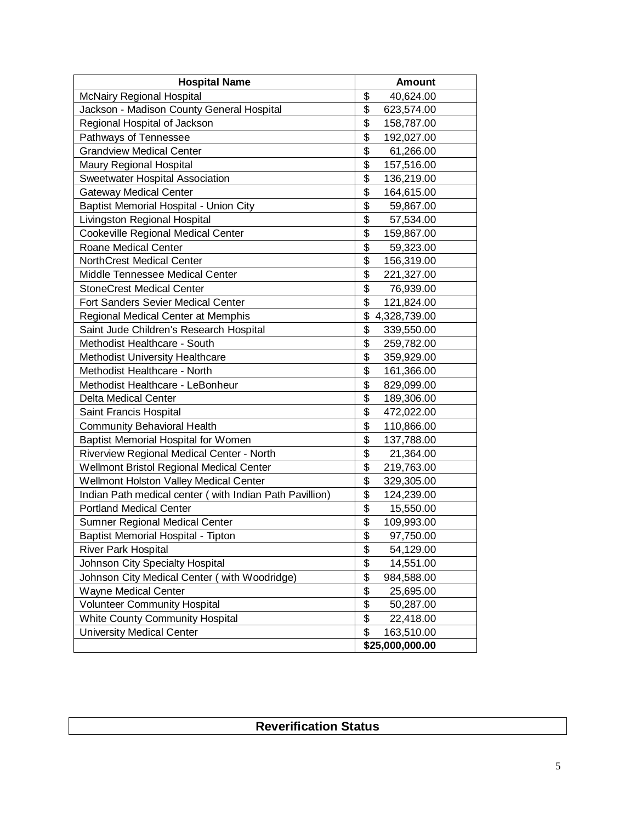| <b>Hospital Name</b>                                    | <b>Amount</b>      |
|---------------------------------------------------------|--------------------|
| <b>McNairy Regional Hospital</b>                        | \$<br>40,624.00    |
| Jackson - Madison County General Hospital               | \$<br>623,574.00   |
| Regional Hospital of Jackson                            | \$<br>158,787.00   |
| Pathways of Tennessee                                   | \$<br>192,027.00   |
| <b>Grandview Medical Center</b>                         | \$<br>61,266.00    |
| Maury Regional Hospital                                 | \$<br>157,516.00   |
| Sweetwater Hospital Association                         | \$<br>136,219.00   |
| <b>Gateway Medical Center</b>                           | \$<br>164,615.00   |
| Baptist Memorial Hospital - Union City                  | \$<br>59,867.00    |
| Livingston Regional Hospital                            | \$<br>57,534.00    |
| Cookeville Regional Medical Center                      | \$<br>159,867.00   |
| Roane Medical Center                                    | \$<br>59,323.00    |
| <b>NorthCrest Medical Center</b>                        | \$<br>156,319.00   |
| Middle Tennessee Medical Center                         | \$<br>221,327.00   |
| <b>StoneCrest Medical Center</b>                        | \$<br>76,939.00    |
| Fort Sanders Sevier Medical Center                      | \$<br>121,824.00   |
| Regional Medical Center at Memphis                      | \$<br>4,328,739.00 |
| Saint Jude Children's Research Hospital                 | \$<br>339,550.00   |
| Methodist Healthcare - South                            | \$<br>259,782.00   |
| Methodist University Healthcare                         | \$<br>359,929.00   |
| Methodist Healthcare - North                            | \$<br>161,366.00   |
| Methodist Healthcare - LeBonheur                        | \$<br>829,099.00   |
| <b>Delta Medical Center</b>                             | \$<br>189,306.00   |
| Saint Francis Hospital                                  | \$<br>472,022.00   |
| <b>Community Behavioral Health</b>                      | \$<br>110,866.00   |
| Baptist Memorial Hospital for Women                     | \$<br>137,788.00   |
| Riverview Regional Medical Center - North               | \$<br>21,364.00    |
| Wellmont Bristol Regional Medical Center                | \$<br>219,763.00   |
| Wellmont Holston Valley Medical Center                  | \$<br>329,305.00   |
| Indian Path medical center (with Indian Path Pavillion) | \$<br>124,239.00   |
| <b>Portland Medical Center</b>                          | \$<br>15,550.00    |
| Sumner Regional Medical Center                          | \$<br>109,993.00   |
| <b>Baptist Memorial Hospital - Tipton</b>               | \$<br>97,750.00    |
| <b>River Park Hospital</b>                              | \$<br>54,129.00    |
| Johnson City Specialty Hospital                         | \$<br>14,551.00    |
| Johnson City Medical Center ( with Woodridge)           | \$<br>984,588.00   |
| Wayne Medical Center                                    | \$<br>25,695.00    |
| <b>Volunteer Community Hospital</b>                     | \$<br>50,287.00    |
| <b>White County Community Hospital</b>                  | \$<br>22,418.00    |
| <b>University Medical Center</b>                        | \$<br>163,510.00   |
|                                                         | \$25,000,000.00    |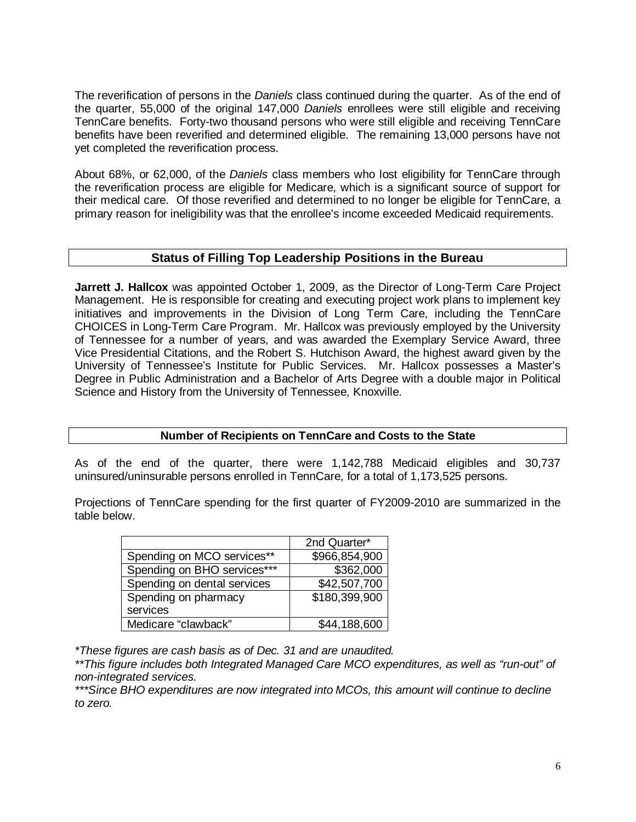The reverification of persons in the *Daniels* class continued during the quarter. As of the end of the quarter, 55,000 of the original 147,000 *Daniels* enrollees were still eligible and receiving TennCare benefits. Forty-two thousand persons who were still eligible and receiving TennCare benefits have been reverified and determined eligible. The remaining 13,000 persons have not yet completed the reverification process.

About 68%, or 62,000, of the *Daniels* class members who lost eligibility for TennCare through the reverification process are eligible for Medicare, which is a significant source of support for their medical care. Of those reverified and determined to no longer be eligible for TennCare, a primary reason for ineligibility was that the enrollee's income exceeded Medicaid requirements.

#### **Status of Filling Top Leadership Positions in the Bureau**

**Jarrett J. Hallcox** was appointed October 1, 2009, as the Director of Long-Term Care Project Management. He is responsible for creating and executing project work plans to implement key initiatives and improvements in the Division of Long Term Care, including the TennCare CHOICES in Long-Term Care Program. Mr. Hallcox was previously employed by the University of Tennessee for a number of years, and was awarded the Exemplary Service Award, three Vice Presidential Citations, and the Robert S. Hutchison Award, the highest award given by the University of Tennessee's Institute for Public Services. Mr. Hallcox possesses a Master's Degree in Public Administration and a Bachelor of Arts Degree with a double major in Political Science and History from the University of Tennessee, Knoxville.

#### **Number of Recipients on TennCare and Costs to the State**

As of the end of the quarter, there were 1,142,788 Medicaid eligibles and 30,737 uninsured/uninsurable persons enrolled in TennCare, for a total of 1,173,525 persons.

Projections of TennCare spending for the first quarter of FY2009-2010 are summarized in the table below.

|                             | 2nd Quarter*  |
|-----------------------------|---------------|
| Spending on MCO services**  | \$966,854,900 |
| Spending on BHO services*** | \$362,000     |
| Spending on dental services | \$42,507,700  |
| Spending on pharmacy        | \$180,399,900 |
| services                    |               |
| Medicare "clawback"         | \$44,188,600  |

*\*These figures are cash basis as of Dec. 31 and are unaudited.*

*\*\*This figure includes both Integrated Managed Care MCO expenditures, as well as "run-out" of non-integrated services.*

*\*\*\*Since BHO expenditures are now integrated into MCOs, this amount will continue to decline to zero.*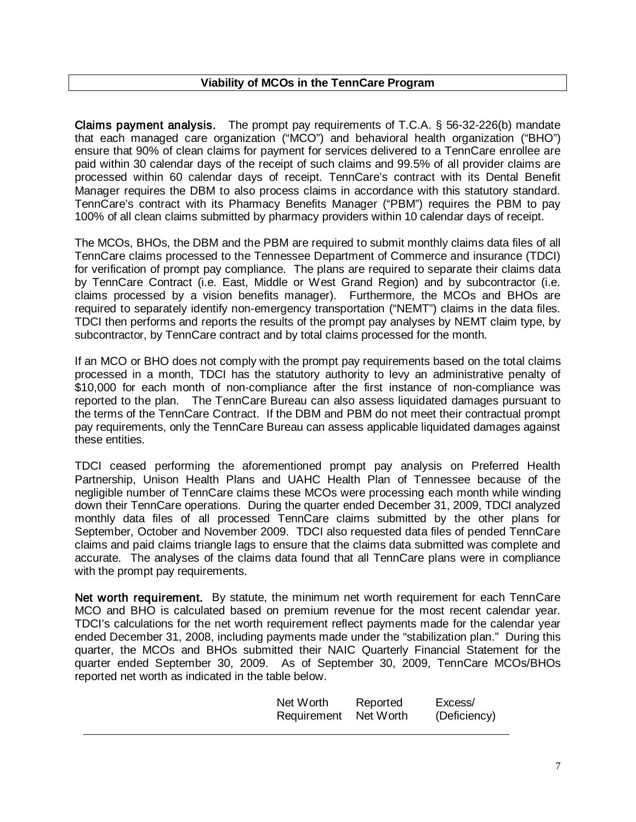#### **Viability of MCOs in the TennCare Program**

Claims payment analysis. The prompt pay requirements of T.C.A. § 56-32-226(b) mandate that each managed care organization ("MCO") and behavioral health organization ("BHO") ensure that 90% of clean claims for payment for services delivered to a TennCare enrollee are paid within 30 calendar days of the receipt of such claims and 99.5% of all provider claims are processed within 60 calendar days of receipt. TennCare's contract with its Dental Benefit Manager requires the DBM to also process claims in accordance with this statutory standard. TennCare's contract with its Pharmacy Benefits Manager ("PBM") requires the PBM to pay 100% of all clean claims submitted by pharmacy providers within 10 calendar days of receipt.

The MCOs, BHOs, the DBM and the PBM are required to submit monthly claims data files of all TennCare claims processed to the Tennessee Department of Commerce and insurance (TDCI) for verification of prompt pay compliance. The plans are required to separate their claims data by TennCare Contract (i.e. East, Middle or West Grand Region) and by subcontractor (i.e. claims processed by a vision benefits manager). Furthermore, the MCOs and BHOs are required to separately identify non-emergency transportation ("NEMT") claims in the data files. TDCI then performs and reports the results of the prompt pay analyses by NEMT claim type, by subcontractor, by TennCare contract and by total claims processed for the month.

If an MCO or BHO does not comply with the prompt pay requirements based on the total claims processed in a month, TDCI has the statutory authority to levy an administrative penalty of \$10,000 for each month of non-compliance after the first instance of non-compliance was reported to the plan. The TennCare Bureau can also assess liquidated damages pursuant to the terms of the TennCare Contract. If the DBM and PBM do not meet their contractual prompt pay requirements, only the TennCare Bureau can assess applicable liquidated damages against these entities.

TDCI ceased performing the aforementioned prompt pay analysis on Preferred Health Partnership, Unison Health Plans and UAHC Health Plan of Tennessee because of the negligible number of TennCare claims these MCOs were processing each month while winding down their TennCare operations. During the quarter ended December 31, 2009, TDCI analyzed monthly data files of all processed TennCare claims submitted by the other plans for September, October and November 2009. TDCI also requested data files of pended TennCare claims and paid claims triangle lags to ensure that the claims data submitted was complete and accurate. The analyses of the claims data found that all TennCare plans were in compliance with the prompt pay requirements.

Net worth requirement. By statute, the minimum net worth requirement for each TennCare MCO and BHO is calculated based on premium revenue for the most recent calendar year. TDCI's calculations for the net worth requirement reflect payments made for the calendar year ended December 31, 2008, including payments made under the "stabilization plan." During this quarter, the MCOs and BHOs submitted their NAIC Quarterly Financial Statement for the quarter ended September 30, 2009. As of September 30, 2009, TennCare MCOs/BHOs reported net worth as indicated in the table below.

| Net Worth   | Reported  | Excess/      |
|-------------|-----------|--------------|
| Requirement | Net Worth | (Deficiency) |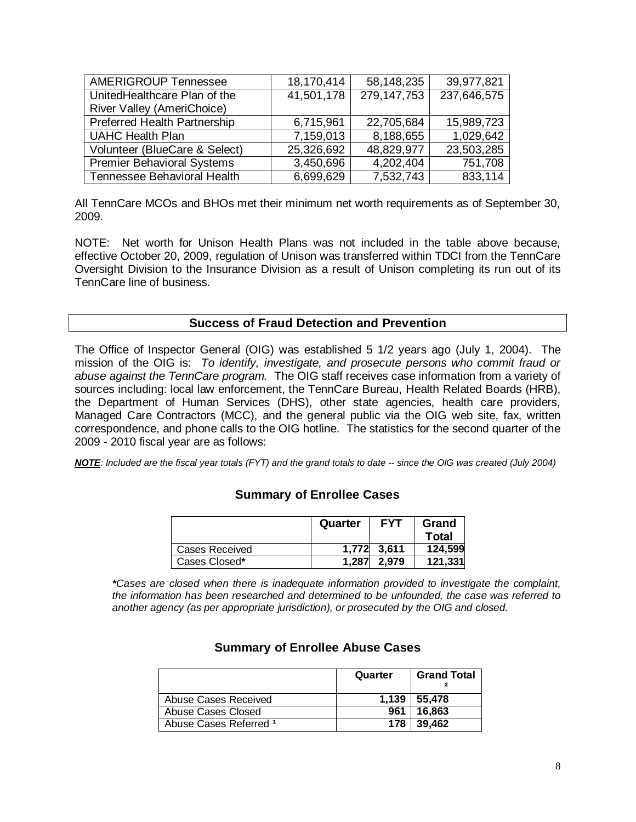| <b>AMERIGROUP Tennessee</b>         | 18,170,414 | 58,148,235    | 39,977,821  |
|-------------------------------------|------------|---------------|-------------|
| UnitedHealthcare Plan of the        | 41,501,178 | 279, 147, 753 | 237,646,575 |
| River Valley (AmeriChoice)          |            |               |             |
| <b>Preferred Health Partnership</b> | 6,715,961  | 22,705,684    | 15,989,723  |
| <b>UAHC Health Plan</b>             | 7,159,013  | 8,188,655     | 1,029,642   |
| Volunteer (BlueCare & Select)       | 25,326,692 | 48,829,977    | 23,503,285  |
| <b>Premier Behavioral Systems</b>   | 3,450,696  | 4,202,404     | 751,708     |
| Tennessee Behavioral Health         | 6,699,629  | 7,532,743     | 833,114     |

All TennCare MCOs and BHOs met their minimum net worth requirements as of September 30, 2009.

NOTE: Net worth for Unison Health Plans was not included in the table above because, effective October 20, 2009, regulation of Unison was transferred within TDCI from the TennCare Oversight Division to the Insurance Division as a result of Unison completing its run out of its TennCare line of business.

#### **Success of Fraud Detection and Prevention**

The Office of Inspector General (OIG) was established 5 1/2 years ago (July 1, 2004). The mission of the OIG is: *To identify, investigate, and prosecute persons who commit fraud or abuse against the TennCare program.* The OIG staff receives case information from a variety of sources including: local law enforcement, the TennCare Bureau, Health Related Boards (HRB), the Department of Human Services (DHS), other state agencies, health care providers, Managed Care Contractors (MCC), and the general public via the OIG web site, fax, written correspondence, and phone calls to the OIG hotline. The statistics for the second quarter of the 2009 - 2010 fiscal year are as follows:

*NOTE: Included are the fiscal year totals (FYT) and the grand totals to date -- since the OIG was created (July 2004)*

#### **Summary of Enrollee Cases**

|                | Quarter | <b>FYT</b>  | Grand   |
|----------------|---------|-------------|---------|
|                |         |             | Total   |
| Cases Received |         | 1.772 3.611 | 124,599 |
| Cases Closed*  | 1.287   | 2.979       | 121,331 |

*\*Cases are closed when there is inadequate information provided to investigate the complaint, the information has been researched and determined to be unfounded, the case was referred to another agency (as per appropriate jurisdiction), or prosecuted by the OIG and closed.* 

|                        | Quarter | <b>Grand Total</b> |
|------------------------|---------|--------------------|
| Abuse Cases Received   | 1.139   | 55.478             |
| Abuse Cases Closed     | 961     | 16.863             |
| Abuse Cases Referred 1 |         | 178 39.462         |

#### **Summary of Enrollee Abuse Cases**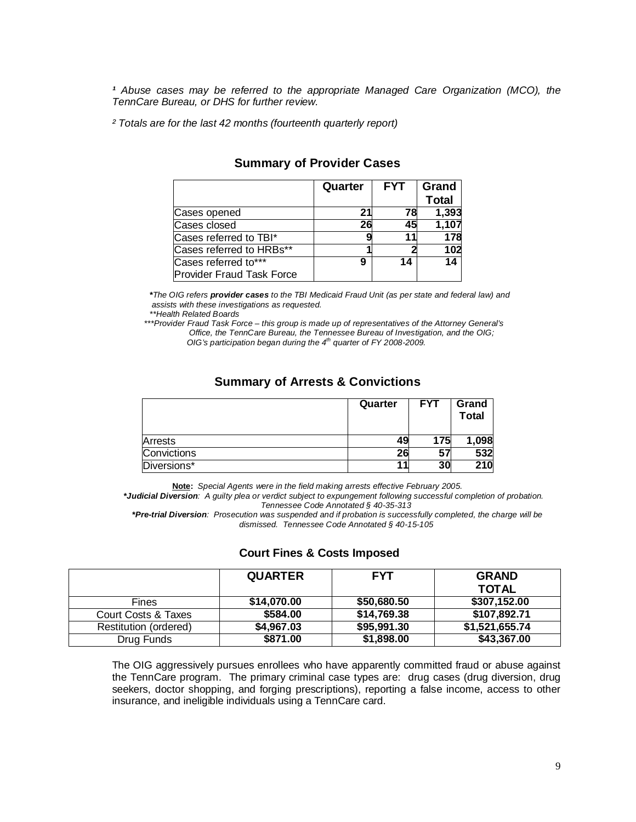<sup>1</sup> Abuse cases may be referred to the appropriate Managed Care Organization (MCO), the *TennCare Bureau, or DHS for further review.*

 *² Totals are for the last 42 months (fourteenth quarterly report)*

|                                  | Quarter | <b>FYT</b> | Grand<br><b>Total</b> |
|----------------------------------|---------|------------|-----------------------|
| Cases opened                     | 21      | 78         | 1,393                 |
| Cases closed                     | 26      | 45         | 1,107                 |
| Cases referred to TBI*           |         | 11         | 178                   |
| Cases referred to HRBs**         |         |            | 102                   |
| Cases referred to***             | 9       | 14         | 14                    |
| <b>Provider Fraud Task Force</b> |         |            |                       |

#### **Summary of Provider Cases**

*\*The OIG refers provider cases to the TBI Medicaid Fraud Unit (as per state and federal law) and assists with these investigations as requested.*

*\*\*Health Related Boards*

 *\*\*\*Provider Fraud Task Force – this group is made up of representatives of the Attorney General's Office, the TennCare Bureau, the Tennessee Bureau of Investigation, and the OIG; OIG's participation began during the 4th quarter of FY 2008-2009.*

#### **Summary of Arrests & Convictions**

|             | Quarter | <b>FYT</b> | Grand<br><b>Total</b> |
|-------------|---------|------------|-----------------------|
| Arrests     | 49      | 175        | 1,098                 |
| Convictions | 26      | 57         | 532                   |
| Diversions* | 11      | 30         | 210                   |

**Note :** *Special Agents were in the field making arrests effective February 2005.*

 *\*Judicial Diversion: A guilty plea or verdict subject to expungement following successful completion of probation. Tennessee Code Annotated § 40-35-313*

 *\*Pre-trial Diversion: Prosecution was suspended and if probation is successfully completed, the charge will be dismissed. Tennessee Code Annotated § 40-15-105*

#### **Court Fines & Costs Imposed**

|                       | <b>QUARTER</b> | <b>FYT</b>  | <b>GRAND</b><br><b>TOTAL</b> |
|-----------------------|----------------|-------------|------------------------------|
| <b>Fines</b>          | \$14,070.00    | \$50,680.50 | \$307,152.00                 |
| Court Costs & Taxes   | \$584.00       | \$14,769.38 | \$107,892.71                 |
| Restitution (ordered) | \$4,967.03     | \$95,991.30 | \$1,521,655.74               |
| Drug Funds            | \$871.00       | \$1,898.00  | \$43,367.00                  |

The OIG aggressively pursues enrollees who have apparently committed fraud or abuse against the TennCare program. The primary criminal case types are: drug cases (drug diversion, drug seekers, doctor shopping, and forging prescriptions), reporting a false income, access to other insurance, and ineligible individuals using a TennCare card.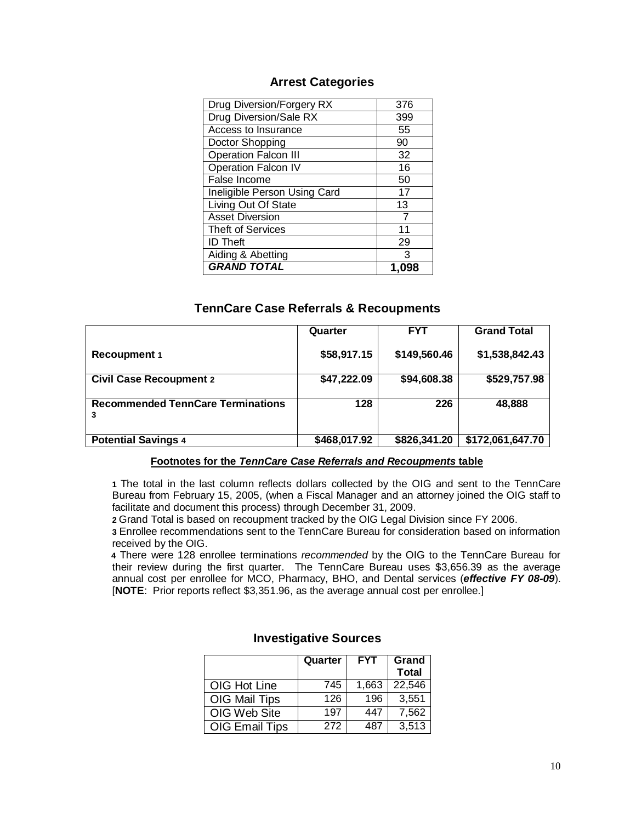#### **Arrest Categories**

| Drug Diversion/Forgery RX    | 376 |
|------------------------------|-----|
| Drug Diversion/Sale RX       | 399 |
| Access to Insurance          | 55  |
| Doctor Shopping              | 90  |
| <b>Operation Falcon III</b>  | 32  |
| <b>Operation Falcon IV</b>   | 16  |
| False Income                 | 50  |
| Ineligible Person Using Card | 17  |
| Living Out Of State          | 13  |
| <b>Asset Diversion</b>       |     |
| <b>Theft of Services</b>     | 11  |
| <b>ID</b> Theft              | 29  |
| Aiding & Abetting            | 3   |
| <b>GRAND TOTAL</b>           |     |

#### **TennCare Case Referrals & Recoupments**

|                                               | Quarter      | <b>FYT</b>   | <b>Grand Total</b> |
|-----------------------------------------------|--------------|--------------|--------------------|
| <b>Recoupment 1</b>                           | \$58,917.15  | \$149,560.46 | \$1,538,842.43     |
| <b>Civil Case Recoupment 2</b>                | \$47,222.09  | \$94,608.38  | \$529,757.98       |
| <b>Recommended TennCare Terminations</b><br>3 | 128          | 226          | 48.888             |
| <b>Potential Savings 4</b>                    | \$468,017.92 | \$826,341.20 | \$172,061,647.70   |

#### **Footnotes for the** *TennCare Case Referrals and Recoupments* **table**

**1** The total in the last column reflects dollars collected by the OIG and sent to the TennCare Bureau from February 15, 2005, (when a Fiscal Manager and an attorney joined the OIG staff to facilitate and document this process) through December 31, 2009.

**2** Grand Total is based on recoupment tracked by the OIG Legal Division since FY 2006.

**3** Enrollee recommendations sent to the TennCare Bureau for consideration based on information received by the OIG.

 **4** There were 128 enrollee terminations *recommended* by the OIG to the TennCare Bureau for their review during the first quarter. The TennCare Bureau uses \$3,656.39 as the average annual cost per enrollee for MCO, Pharmacy, BHO, and Dental services (*effective FY 08-09*). [**NOTE**: Prior reports reflect \$3,351.96, as the average annual cost per enrollee.]

|                       | Quarter | <b>FYT</b> | Grand<br><b>Total</b> |
|-----------------------|---------|------------|-----------------------|
| OIG Hot Line          | 745     | 1,663      | 22,546                |
| OIG Mail Tips         | 126     | 196        | 3,551                 |
| OIG Web Site          | 197     | 447        | 7,562                 |
| <b>OIG Email Tips</b> | 272     | 487        | 3,513                 |

#### **Investigative Sources**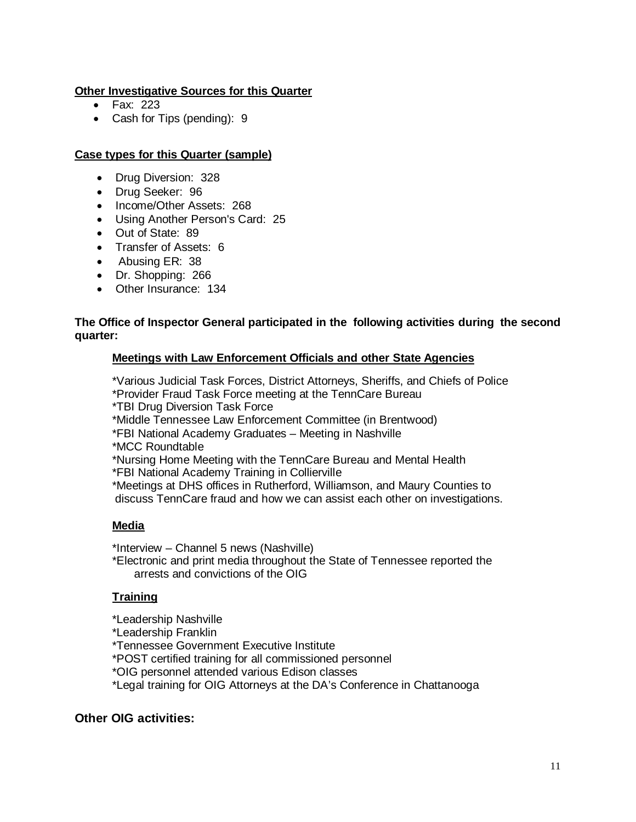#### **Other Investigative Sources for this Quarter**

- Fax: 223
- Cash for Tips (pending): 9

#### **Case types for this Quarter (sample)**

- Drug Diversion: 328
- Drug Seeker: 96
- Income/Other Assets: 268
- Using Another Person's Card: 25
- Out of State: 89
- Transfer of Assets: 6
- Abusing ER: 38
- Dr. Shopping: 266
- Other Insurance: 134

#### **The Office of Inspector General participated in the following activities during the second quarter:**

#### **Meetings with Law Enforcement Officials and other State Agencies**

\*Various Judicial Task Forces, District Attorneys, Sheriffs, and Chiefs of Police \*Provider Fraud Task Force meeting at the TennCare Bureau

\*TBI Drug Diversion Task Force

\*Middle Tennessee Law Enforcement Committee (in Brentwood)

\*FBI National Academy Graduates – Meeting in Nashville

\*MCC Roundtable

\*Nursing Home Meeting with the TennCare Bureau and Mental Health

\*FBI National Academy Training in Collierville

\*Meetings at DHS offices in Rutherford, Williamson, and Maury Counties to discuss TennCare fraud and how we can assist each other on investigations.

#### **Media**

\*Interview – Channel 5 news (Nashville)

\*Electronic and print media throughout the State of Tennessee reported the arrests and convictions of the OIG

#### **Training**

\*Leadership Nashville

\*Leadership Franklin

\*Tennessee Government Executive Institute

\*POST certified training for all commissioned personnel

\*OIG personnel attended various Edison classes

\*Legal training for OIG Attorneys at the DA's Conference in Chattanooga

#### **Other OIG activities:**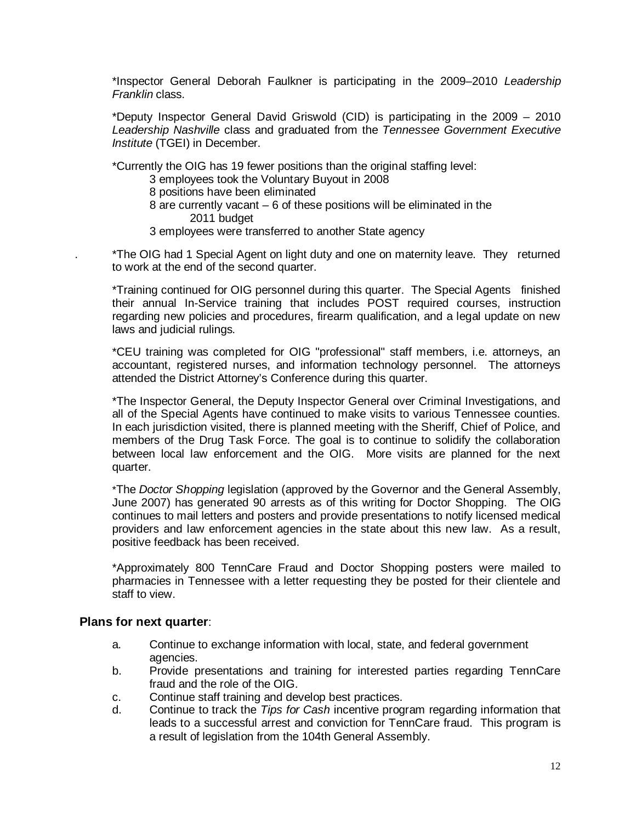\*Inspector General Deborah Faulkner is participating in the 2009–2010 *Leadership Franklin* class.

\*Deputy Inspector General David Griswold (CID) is participating in the 2009 – 2010 *Leadership Nashville* class and graduated from the *Tennessee Government Executive Institute* (TGEI) in December.

\*Currently the OIG has 19 fewer positions than the original staffing level:

- 3 employees took the Voluntary Buyout in 2008
- 8 positions have been eliminated
- 8 are currently vacant 6 of these positions will be eliminated in the 2011 budget
- 3 employees were transferred to another State agency

\*The OIG had 1 Special Agent on light duty and one on maternity leave. They returned to work at the end of the second quarter.

\*Training continued for OIG personnel during this quarter. The Special Agents finished their annual In-Service training that includes POST required courses, instruction regarding new policies and procedures, firearm qualification, and a legal update on new laws and judicial rulings.

\*CEU training was completed for OIG "professional" staff members, i.e. attorneys, an accountant, registered nurses, and information technology personnel. The attorneys attended the District Attorney's Conference during this quarter.

\*The Inspector General, the Deputy Inspector General over Criminal Investigations, and all of the Special Agents have continued to make visits to various Tennessee counties. In each jurisdiction visited, there is planned meeting with the Sheriff, Chief of Police, and members of the Drug Task Force. The goal is to continue to solidify the collaboration between local law enforcement and the OIG. More visits are planned for the next quarter.

\*The *Doctor Shopping* legislation (approved by the Governor and the General Assembly, June 2007) has generated 90 arrests as of this writing for Doctor Shopping. The OIG continues to mail letters and posters and provide presentations to notify licensed medical providers and law enforcement agencies in the state about this new law. As a result, positive feedback has been received.

\*Approximately 800 TennCare Fraud and Doctor Shopping posters were mailed to pharmacies in Tennessee with a letter requesting they be posted for their clientele and staff to view.

#### **Plans for next quarter**:

- a. Continue to exchange information with local, state, and federal government agencies.
- b. Provide presentations and training for interested parties regarding TennCare fraud and the role of the OIG.
- c. Continue staff training and develop best practices.
- d. Continue to track the *Tips for Cash* incentive program regarding information that leads to a successful arrest and conviction for TennCare fraud. This program is a result of legislation from the 104th General Assembly.